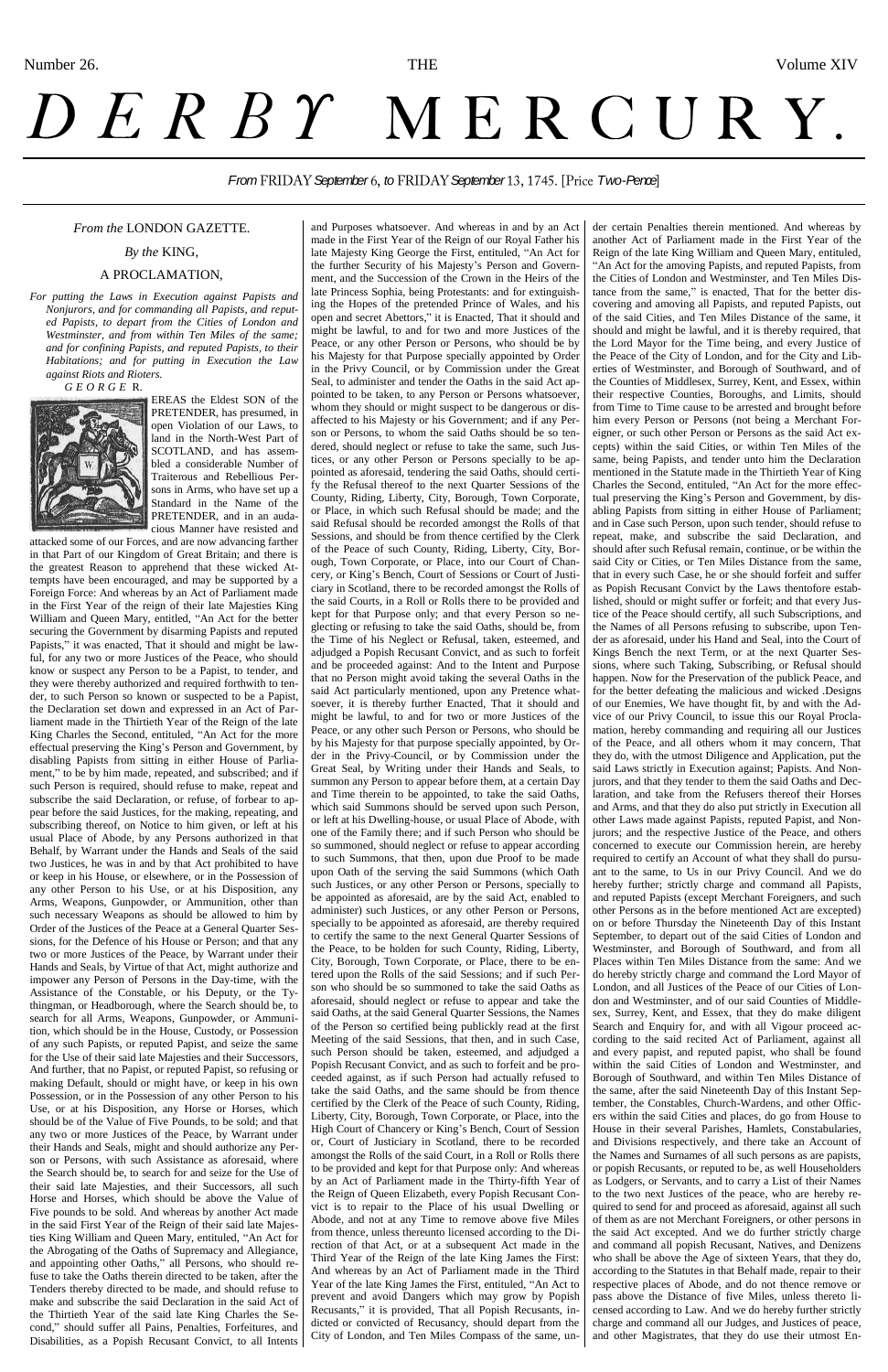## *From FRIDAY September 6, to FRIDAY September 13, 1745. [Price Two-Pence]*

#### *From the* LONDON GAZETTE.

*By the* KING,

#### A PROCLAMATION,

*For putting the Laws in Execution against Papists and Nonjurors, and for commanding all Papists, and reputed Papists, to depart from the Cities of London and Westminster, and from within Ten Miles of the same; and for confining Papists, and reputed Papists, to their Habitations; and for putting in Execution the Law against Riots and Rioters.*

*G E O R G E* R.



EREAS the Eldest SON of the PRETENDER, has presumed, in open Violation of our Laws, to land in the North-West Part of SCOTLAND, and has assembled a considerable Number of Traiterous and Rebellious Persons in Arms, who have set up a Standard in the Name of the PRETENDER, and in an audacious Manner have resisted and

attacked some of our Forces, and are now advancing farther in that Part of our Kingdom of Great Britain; and there is the greatest Reason to apprehend that these wicked Attempts have been encouraged, and may be supported by a Foreign Force: And whereas by an Act of Parliament made in the First Year of the reign of their late Majesties King William and Queen Mary, entitled, "An Act for the better securing the Government by disarming Papists and reputed Papists," it was enacted, That it should and might be lawful, for any two or more Justices of the Peace, who should know or suspect any Person to be a Papist, to tender, and they were thereby authorized and required forthwith to tender, to such Person so known or suspected to be a Papist, the Declaration set down and expressed in an Act of Parliament made in the Thirtieth Year of the Reign of the late King Charles the Second, entituled, "An Act for the more effectual preserving the King's Person and Government, by disabling Papists from sitting in either House of Parliament," to be by him made, repeated, and subscribed; and if such Person is required, should refuse to make, repeat and subscribe the said Declaration, or refuse, of forbear to appear before the said Justices, for the making, repeating, and subscribing thereof, on Notice to him given, or left at his usual Place of Abode, by any Persons authorized in that Behalf, by Warrant under the Hands and Seals of the said two Justices, he was in and by that Act prohibited to have or keep in his House, or elsewhere, or in the Possession of any other Person to his Use, or at his Disposition, any Arms, Weapons, Gunpowder, or Ammunition, other than such necessary Weapons as should be allowed to him by Order of the Justices of the Peace at a General Quarter Sessions, for the Defence of his House or Person; and that any two or more Justices of the Peace, by Warrant under their Hands and Seals, by Virtue of that Act, might authorize and impower any Person of Persons in the Day-time, with the Assistance of the Constable, or his Deputy, or the Tythingman, or Headborough, where the Search should be, to search for all Arms, Weapons, Gunpowder, or Ammunition, which should be in the House, Custody, or Possession of any such Papists, or reputed Papist, and seize the same for the Use of their said late Majesties and their Successors, And further, that no Papist, or reputed Papist, so refusing or making Default, should or might have, or keep in his own Possession, or in the Possession of any other Person to his Use, or at his Disposition, any Horse or Horses, which should be of the Value of Five Pounds, to be sold; and that any two or more Justices of the Peace, by Warrant under their Hands and Seals, might and should authorize any Person or Persons, with such Assistance as aforesaid, where the Search should be, to search for and seize for the Use of their said late Majesties, and their Successors, all such Horse and Horses, which should be above the Value of Five pounds to be sold. And whereas by another Act made in the said First Year of the Reign of their said late Majesties King William and Queen Mary, entituled, "An Act for the Abrogating of the Oaths of Supremacy and Allegiance, and appointing other Oaths," all Persons, who should refuse to take the Oaths therein directed to be taken, after the Tenders thereby directed to be made, and should refuse to make and subscribe the said Declaration in the said Act of the Thirtieth Year of the said late King Charles the Second," should suffer all Pains, Penalties, Forfeitures, and Disabilities, as a Popish Recusant Convict, to all Intents

and Purposes whatsoever. And whereas in and by an Act made in the First Year of the Reign of our Royal Father his late Majesty King George the First, entituled, "An Act for the further Security of his Majesty's Person and Government, and the Succession of the Crown in the Heirs of the late Princess Sophia, being Protestants: and for extinguishing the Hopes of the pretended Prince of Wales, and his open and secret Abettors," it is Enacted, That it should and might be lawful, to and for two and more Justices of the Peace, or any other Person or Persons, who should be by his Majesty for that Purpose specially appointed by Order in the Privy Council, or by Commission under the Great Seal, to administer and tender the Oaths in the said Act appointed to be taken, to any Person or Persons whatsoever, whom they should or might suspect to be dangerous or disaffected to his Majesty or his Government; and if any Person or Persons, to whom the said Oaths should be so tendered, should neglect or refuse to take the same, such Justices, or any other Person or Persons specially to be appointed as aforesaid, tendering the said Oaths, should certify the Refusal thereof to the next Quarter Sessions of the County, Riding, Liberty, City, Borough, Town Corporate, or Place, in which such Refusal should be made; and the said Refusal should be recorded amongst the Rolls of that Sessions, and should be from thence certified by the Clerk of the Peace of such County, Riding, Liberty, City, Borough, Town Corporate, or Place, into our Court of Chancery, or King's Bench, Court of Sessions or Court of Justiciary in Scotland, there to be recorded amongst the Rolls of the said Courts, in a Roll or Rolls there to be provided and kept for that Purpose only; and that every Person so neglecting or refusing to take the said Oaths, should be, from the Time of his Neglect or Refusal, taken, esteemed, and adjudged a Popish Recusant Convict, and as such to forfeit and be proceeded against: And to the Intent and Purpose that no Person might avoid taking the several Oaths in the said Act particularly mentioned, upon any Pretence whatsoever, it is thereby further Enacted, That it should and might be lawful, to and for two or more Justices of the Peace, or any other such Person or Persons, who should be by his Majesty for that purpose specially appointed, by Order in the Privy-Council, or by Commission under the Great Seal, by Writing under their Hands and Seals, to summon any Person to appear before them, at a certain Day and Time therein to be appointed, to take the said Oaths, which said Summons should be served upon such Person, or left at his Dwelling-house, or usual Place of Abode, with one of the Family there; and if such Person who should be so summoned, should neglect or refuse to appear according to such Summons, that then, upon due Proof to be made upon Oath of the serving the said Summons (which Oath such Justices, or any other Person or Persons, specially to be appointed as aforesaid, are by the said Act, enabled to administer) such Justices, or any other Person or Persons, specially to be appointed as aforesaid, are thereby required to certify the same to the next General Quarter Sessions of the Peace, to be holden for such County, Riding, Liberty, City, Borough, Town Corporate, or Place, there to be entered upon the Rolls of the said Sessions; and if such Person who should be so summoned to take the said Oaths as aforesaid, should neglect or refuse to appear and take the said Oaths, at the said General Quarter Sessions, the Names of the Person so certified being publickly read at the first Meeting of the said Sessions, that then, and in such Case, such Person should be taken, esteemed, and adjudged a Popish Recusant Convict, and as such to forfeit and be proceeded against, as if such Person had actually refused to take the said Oaths, and the same should be from thence certified by the Clerk of the Peace of such County, Riding, Liberty, City, Borough, Town Corporate, or Place, into the High Court of Chancery or King's Bench, Court of Session or, Court of Justiciary in Scotland, there to be recorded amongst the Rolls of the said Court, in a Roll or Rolls there to be provided and kept for that Purpose only: And whereas by an Act of Parliament made in the Thirty-fifth Year of the Reign of Queen Elizabeth, every Popish Recusant Convict is to repair to the Place of his usual Dwelling or Abode, and not at any Time to remove above five Miles from thence, unless thereunto licensed according to the Direction of that Act, or at a subsequent Act made in the Third Year of the Reign of the late King James the First: And whereas by an Act of Parliament made in the Third Year of the late King James the First, entituled, "An Act to prevent and avoid Dangers which may grow by Popish Recusants," it is provided, That all Popish Recusants, indicted or convicted of Recusancy, should depart from the City of London, and Ten Miles Compass of the same, under certain Penalties therein mentioned. And whereas by another Act of Parliament made in the First Year of the Reign of the late King William and Queen Mary, entituled, "An Act for the amoving Papists, and reputed Papists, from the Cities of London and Westminster, and Ten Miles Distance from the same," is enacted, That for the better discovering and amoving all Papists, and reputed Papists, out of the said Cities, and Ten Miles Distance of the same, it should and might be lawful, and it is thereby required, that the Lord Mayor for the Time being, and every Justice of the Peace of the City of London, and for the City and Liberties of Westminster, and Borough of Southward, and of the Counties of Middlesex, Surrey, Kent, and Essex, within their respective Counties, Boroughs, and Limits, should from Time to Time cause to be arrested and brought before him every Person or Persons (not being a Merchant Foreigner, or such other Person or Persons as the said Act excepts) within the said Cities, or within Ten Miles of the same, being Papists, and tender unto him the Declaration mentioned in the Statute made in the Thirtieth Year of King Charles the Second, entituled, "An Act for the more effectual preserving the King's Person and Government, by disabling Papists from sitting in either House of Parliament; and in Case such Person, upon such tender, should refuse to repeat, make, and subscribe the said Declaration, and should after such Refusal remain, continue, or be within the said City or Cities, or Ten Miles Distance from the same, that in every such Case, he or she should forfeit and suffer as Popish Recusant Convict by the Laws thentofore established, should or might suffer or forfeit; and that every Justice of the Peace should certify, all such Subscriptions, and the Names of all Persons refusing to subscribe, upon Tender as aforesaid, under his Hand and Seal, into the Court of Kings Bench the next Term, or at the next Quarter Sessions, where such Taking, Subscribing, or Refusal should happen. Now for the Preservation of the publick Peace, and for the better defeating the malicious and wicked .Designs of our Enemies, We have thought fit, by and with the Advice of our Privy Council, to issue this our Royal Proclamation, hereby commanding and requiring all our Justices of the Peace, and all others whom it may concern, That they do, with the utmost Diligence and Application, put the said Laws strictly in Execution against; Papists. And Nonjurors, and that they tender to them the said Oaths and Declaration, and take from the Refusers thereof their Horses and Arms, and that they do also put strictly in Execution all other Laws made against Papists, reputed Papist, and Nonjurors; and the respective Justice of the Peace, and others concerned to execute our Commission herein, are hereby required to certify an Account of what they shall do pursuant to the same, to Us in our Privy Council. And we do hereby further; strictly charge and command all Papists, and reputed Papists (except Merchant Foreigners, and such other Persons as in the before mentioned Act are excepted) on or before Thursday the Nineteenth Day of this Instant September, to depart out of the said Cities of London and Westminster, and Borough of Southward, and from all Places within Ten Miles Distance from the same: And we do hereby strictly charge and command the Lord Mayor of London, and all Justices of the Peace of our Cities of London and Westminster, and of our said Counties of Middlesex, Surrey, Kent, and Essex, that they do make diligent Search and Enquiry for, and with all Vigour proceed according to the said recited Act of Parliament, against all and every papist, and reputed papist, who shall be found within the said Cities of London and Westminster, and Borough of Southward, and within Ten Miles Distance of the same, after the said Nineteenth Day of this Instant September, the Constables, Church-Wardens, and other Officers within the said Cities and places, do go from House to House in their several Parishes, Hamlets, Constabularies, and Divisions respectively, and there take an Account of the Names and Surnames of all such persons as are papists, or popish Recusants, or reputed to be, as well Householders as Lodgers, or Servants, and to carry a List of their Names to the two next Justices of the peace, who are hereby required to send for and proceed as aforesaid, against all such of them as are not Merchant Foreigners, or other persons in the said Act excepted. And we do further strictly charge and command all popish Recusant, Natives, and Denizens who shall be above the Age of sixteen Years, that they do, according to the Statutes in that Behalf made, repair to their respective places of Abode, and do not thence remove or pass above the Distance of five Miles, unless thereto licensed according to Law. And we do hereby further strictly charge and command all our Judges, and Justices of peace, and other Magistrates, that they do use their utmost En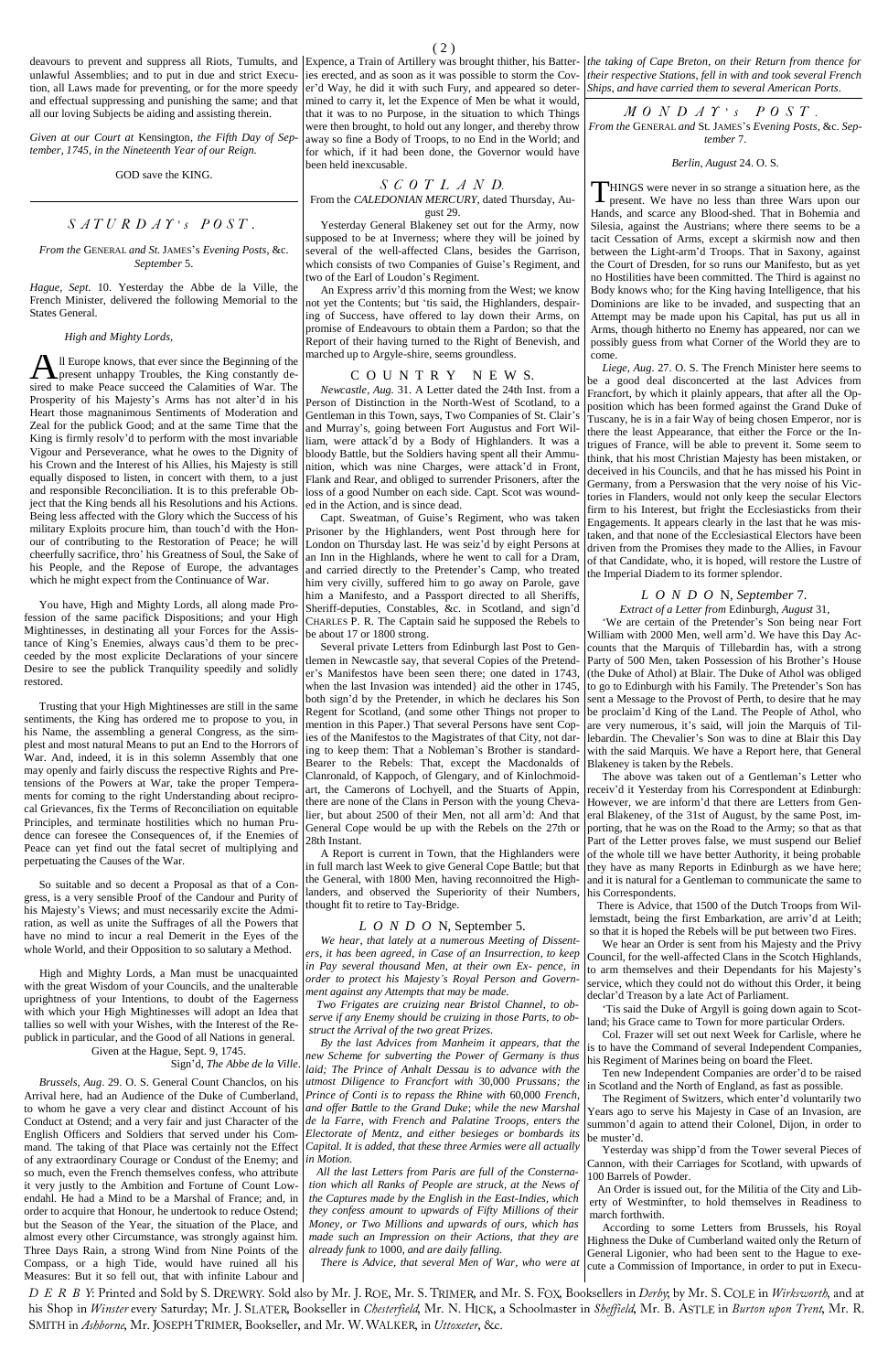unlawful Assemblies; and to put in due and strict Execution, all Laws made for preventing, or for the more speedy and effectual suppressing and punishing the same; and that all our loving Subjects be aiding and assisting therein.

*Given at our Court at* Kensington*, the Fifth Day of September, 1745, in the Nineteenth Year of our Reign.*

GOD save the KING.

## $S \text{ } AT \text{ } U \text{ } R \text{ } D \text{ } AT \text{ } 's \text{ } P \text{ } O \text{ } ST$ .

#### *From the* GENERAL *and St.*JAMES's *Evening Posts,* &c*. September* 5.

*Hague, Sept.* 10. Yesterday the Abbe de la Ville, the French Minister, delivered the following Memorial to the States General.

#### *High and Mighty Lords,*

ll Europe knows, that ever since the Beginning of the All Europe knows, that ever since the Beginning of the present unhappy Troubles, the King constantly desired to make Peace succeed the Calamities of War. The Prosperity of his Majesty's Arms has not alter'd in his Heart those magnanimous Sentiments of Moderation and Zeal for the publick Good; and at the same Time that the King is firmly resolv'd to perform with the most invariable Vigour and Perseverance, what he owes to the Dignity of his Crown and the Interest of his Allies, his Majesty is still equally disposed to listen, in concert with them, to a just and responsible Reconciliation. It is to this preferable Object that the King bends all his Resolutions and his Actions. Being less affected with the Glory which the Success of his military Exploits procure him, than touch'd with the Honour of contributing to the Restoration of Peace; he will cheerfully sacrifice, thro' his Greatness of Soul, the Sake of his People, and the Repose of Europe, the advantages which he might expect from the Continuance of War.

You have, High and Mighty Lords, all along made Profession of the same pacifick Dispositions; and your High Mightinesses, in destinating all your Forces for the Assistance of King's Enemies, always caus'd them to be precceeded by the most explicite Declarations of your sincere Desire to see the publick Tranquility speedily and solidly restored.

Trusting that your High Mightinesses are still in the same sentiments, the King has ordered me to propose to you, in his Name, the assembling a general Congress, as the simplest and most natural Means to put an End to the Horrors of War. And, indeed, it is in this solemn Assembly that one may openly and fairly discuss the respective Rights and Pretensions of the Powers at War, take the proper Temperaments for coming to the right Understanding about reciprocal Grievances, fix the Terms of Reconciliation on equitable Principles, and terminate hostilities which no human Prudence can foresee the Consequences of, if the Enemies of Peace can yet find out the fatal secret of multiplying and perpetuating the Causes of the War.

So suitable and so decent a Proposal as that of a Congress, is a very sensible Proof of the Candour and Purity of his Majesty's Views; and must necessarily excite the Admiration, as well as unite the Suffrages of all the Powers that have no mind to incur a real Demerit in the Eyes of the whole World, and their Opposition to so salutary a Method.

High and Mighty Lords, a Man must be unacquainted with the great Wisdom of your Councils, and the unalterable uprightness of your Intentions, to doubt of the Eagerness with which your High Mightinesses will adopt an Idea that tallies so well with your Wishes, with the Interest of the Republick in particular, and the Good of all Nations in general.

Given at the Hague, Sept. 9, 1745.

Sign'd, *The Abbe de la Ville.*

*Brussels, Aug*. 29. O. S. General Count Chanclos, on his Arrival here, had an Audience of the Duke of Cumberland, to whom he gave a very clear and distinct Account of his Conduct at Ostend; and a very fair and just Character of the English Officers and Soldiers that served under his Command. The taking of that Place was certainly not the Effect of any extraordinary Courage or Condust of the Enemy; and so much, even the French themselves confess, who attribute it very justly to the Ambition and Fortune of Count Lowendahl. He had a Mind to be a Marshal of France; and, in order to acquire that Honour, he undertook to reduce Ostend; but the Season of the Year, the situation of the Place, and almost every other Circumstance, was strongly against him. Three Days Rain, a strong Wind from Nine Points of the Compass, or a high Tide, would have ruined all his Measures: But it so fell out, that with infinite Labour and

ies erected, and as soon as it was possible to storm the Cover'd Way, he did it with such Fury, and appeared so determined to carry it, let the Expence of Men be what it would, that it was to no Purpose, in the situation to which Things were then brought, to hold out any longer, and thereby throw away so fine a Body of Troops, to no End in the World; and for which, if it had been done, the Governor would have been held inexcusable.

deavours to prevent and suppress all Riots, Tumults, and Expence, a Train of Artillery was brought thither, his Batter-*the taking of Cape Breton*, *on their Return from thence for their respective Stations*, *fell in with and took several French Ships*, *and have carried them to several American Ports*.

> *S C O T L A N D.* From the *CALEDONIAN MERCURY*, dated Thursday, August 29.

Yesterday General Blakeney set out for the Army, now supposed to be at Inverness; where they will be joined by several of the well-affected Clans, besides the Garrison, which consists of two Companies of Guise's Regiment, and two of the Earl of Loudon's Regiment.

An Express arriv'd this morning from the West; we know not yet the Contents; but 'tis said, the Highlanders, despairing of Success, have offered to lay down their Arms, on promise of Endeavours to obtain them a Pardon; so that the Report of their having turned to the Right of Benevish, and marched up to Argyle-shire, seems groundless.

#### C O U N T R Y NEW S.

*Newcastle*, *Aug.* 31. A Letter dated the 24th Inst. from a Person of Distinction in the North-West of Scotland, to a Gentleman in this Town, says, Two Companies of St. Clair's and Murray's, going between Fort Augustus and Fort William, were attack'd by a Body of Highlanders. It was a bloody Battle, but the Soldiers having spent all their Ammunition, which was nine Charges, were attack'd in Front, Flank and Rear, and obliged to surrender Prisoners, after the loss of a good Number on each side. Capt. Scot was wounded in the Action, and is since dead.

Capt. Sweatman, of Guise's Regiment, who was taken Prisoner by the Highlanders, went Post through here for London on Thursday last. He was seiz'd by eight Persons at an Inn in the Highlands, where he went to call for a Dram, and carried directly to the Pretender's Camp, who treated him very civilly, suffered him to go away on Parole, gave him a Manifesto, and a Passport directed to all Sheriffs, Sheriff-deputies, Constables, &c. in Scotland, and sign'd CHARLES P. R. The Captain said he supposed the Rebels to be about 17 or 1800 strong.

> Tis said the Duke of Argyll is going down again to Scotland; his Grace came to Town for more particular Orders. Col. Frazer will set out next Week for Carlisle, where he is to have the Command of several Independent Companies, his Regiment of Marines being on board the Fleet. Ten new Independent Companies are order'd to be raised in Scotland and the North of England, as fast as possible. The Regiment of Switzers, which enter'd voluntarily two Years ago to serve his Majesty in Case of an Invasion, are summon'd again to attend their Colonel, Dijon, in order to be muster'd. Yesterday was shipp'd from the Tower several Pieces of Cannon, with their Carriages for Scotland, with upwards of 100 Barrels of Powder. An Order is issued out, for the Militia of the City and Liberty of Westminfter, to hold themselves in Readiness to march forthwith. According to some Letters from Brussels, his Royal Highness the Duke of Cumberland waited only the Return of General Ligonier, who had been sent to the Hague to execute a Commission of Importance, in order to put in Execu-

Several private Letters from Edinburgh last Post to Gentlemen in Newcastle say, that several Copies of the Pretender's Manifestos have been seen there; one dated in 1743, when the last Invasion was intended} aid the other in 1745, both sign'd by the Pretender, in which he declares his Son Regent for Scotland, (and some other Things not proper to mention in this Paper.) That several Persons have sent Copies of the Manifestos to the Magistrates of that City, not daring to keep them: That a Nobleman's Brother is standard-Bearer to the Rebels: That, except the Macdonalds of Clanronald, of Kappoch, of Glengary, and of Kinlochmoidart, the Camerons of Lochyell, and the Stuarts of Appin, there are none of the Clans in Person with the young Chevalier, but about 2500 of their Men, not all arm'd: And that General Cope would be up with the Rebels on the 27th or 28th Instant.

A Report is current in Town, that the Highlanders were in full march last Week to give General Cope Battle; but that the General, with 1800 Men, having reconnoitred the Highlanders, and observed the Superiority of their Numbers, thought fit to retire to Tay-Bridge.

#### *L O N D O* N, September 5.

*We hear*, *that lately at a numerous Meeting of Dissenters*, *it has been agreed*, *in Case of an Insurrection*, *to keep in Pay several thousand Men*, *at their own Ex- pence*, *in order to protect his Majesty's Royal Person and Government against any Attempts that may be made.*

*Two Frigates are cruizing near Bristol Channel*, *to ob-*

*serve if any Enemy should be cruizing in those Parts*, *to obstruct the Arrival of the two great Prizes.*

*By the last Advices from Manheim it appears, that the new Scheme for subverting the Power of Germany is thus*  laid; The Prince of Anhalt Dessau is to advance with the *utmost Diligence to Francfort with* 30,000 *Prussans; the Prince of Conti is to repass the Rhine with* 60,000 *French*, *and offer Battle to the Grand Duke*; *while the new Marshal de la Farre*, *with French and Palatine Troops, enters the Electorate of Mentz, and either besieges or bombards its Capital. It is added*, *that these three Armies were all actually in Motion.*

*All the last Letters from Paris are full of the Con*st*ernation which all Ranks of People are struck, at the News of the Captures made by the English in the East-Indies, which they confess amount to upwards of Fifty Millions of their Money, or Two Millions and upwards of ours, which has made such an Impression on their Actions, that they are already funk to* 1000, *and are daily falling.*

*There is Advice, that several Men of War, who were at* 

D E R B Y: Printed and Sold by S. DREWRY. Sold also by Mr. J. ROE, Mr. S. TRIMER, and Mr. S. FOX, Booksellers in Derby, by Mr. S. COLE in Wirksworth, and at his Shop in Winster every Saturday; Mr. J. SLATER, Bookseller in Chesterfield, Mr. N. HICK, a Schoolmaster in Sheffield, Mr. B. ASTLE in Burton upon Trent, Mr. R. SMITH in Ashborne, Mr. JOSEPH TRIMER, Bookseller, and Mr. W. WALKER, in Uttoxeter, &c.

*M O N D A Y ' s P O S T . From the* GENERAL *and* St. JAMES's *Evening Posts*, &c. *September* 7.

#### *Berlin, August* 24. O. S.

HINGS were never in so strange a situation here, as the THINGS were never in so strange a situation here, as the present. We have no less than three Wars upon our Hands, and scarce any Blood-shed. That in Bohemia and Silesia, against the Austrians; where there seems to be a tacit Cessation of Arms, except a skirmish now and then between the Light-arm'd Troops. That in Saxony, against the Court of Dresden, for so runs our Manifesto, but as yet no Hostilities have been committed. The Third is against no Body knows who; for the King having Intelligence, that his Dominions are like to be invaded, and suspecting that an Attempt may be made upon his Capital, has put us all in Arms, though hitherto no Enemy has appeared, nor can we possibly guess from what Corner of the World they are to come.

*Liege, Aug*. 27. O. S. The French Minister here seems to be a good deal disconcerted at the last Advices from Francfort, by which it plainly appears, that after all the Opposition which has been formed against the Grand Duke of Tuscany, he is in a fair Way of being chosen Emperor, nor is there the least Appearance, that either the Force or the Intrigues of France, will be able to prevent it. Some seem to think, that his most Christian Majesty has been mistaken, or deceived in his Councils, and that he has missed his Point in Germany, from a Perswasion that the very noise of his Victories in Flanders, would not only keep the secular Electors firm to his Interest, but fright the Ecclesiasticks from their Engagements. It appears clearly in the last that he was mistaken, and that none of the Ecclesiastical Electors have been driven from the Promises they made to the Allies, in Favour of that Candidate, who, it is hoped, will restore the Lustre of the Imperial Diadem to its former splendor.

#### *L O N D O* N, *September* 7.

## *Extract of a Letter from* Edinburgh, *August* 31,

'We are certain of the Pretender's Son being near Fort William with 2000 Men, well arm'd. We have this Day Accounts that the Marquis of Tillebardin has, with a strong Party of 500 Men, taken Possession of his Brother's House (the Duke of Athol) at Blair. The Duke of Athol was obliged to go to Edinburgh with his Family. The Pretender's Son has sent a Message to the Provost of Perth, to desire that he may be proclaim'd King of the Land. The People of Athol, who are very numerous, it's said, will join the Marquis of Tillebardin. The Chevalier's Son was to dine at Blair this Day with the said Marquis. We have a Report here, that General Blakeney is taken by the Rebels.

The above was taken out of a Gentleman's Letter who receiv'd it Yesterday from his Correspondent at Edinburgh: However, we are inform'd that there are Letters from General Blakeney, of the 31st of August, by the same Post, importing, that he was on the Road to the Army; so that as that Part of the Letter proves false, we must suspend our Belief of the whole till we have better Authority, it being probable they have as many Reports in Edinburgh as we have here; and it is natural for a Gentleman to communicate the same to his Correspondents.

There is Advice, that 1500 of the Dutch Troops from Willemstadt, being the first Embarkation, are arriv'd at Leith; so that it is hoped the Rebels will be put between two Fires.

We hear an Order is sent from his Majesty and the Privy Council, for the well-affected Clans in the Scotch Highlands, to arm themselves and their Dependants for his Majesty's service, which they could not do without this Order, it being declar'd Treason by a late Act of Parliament.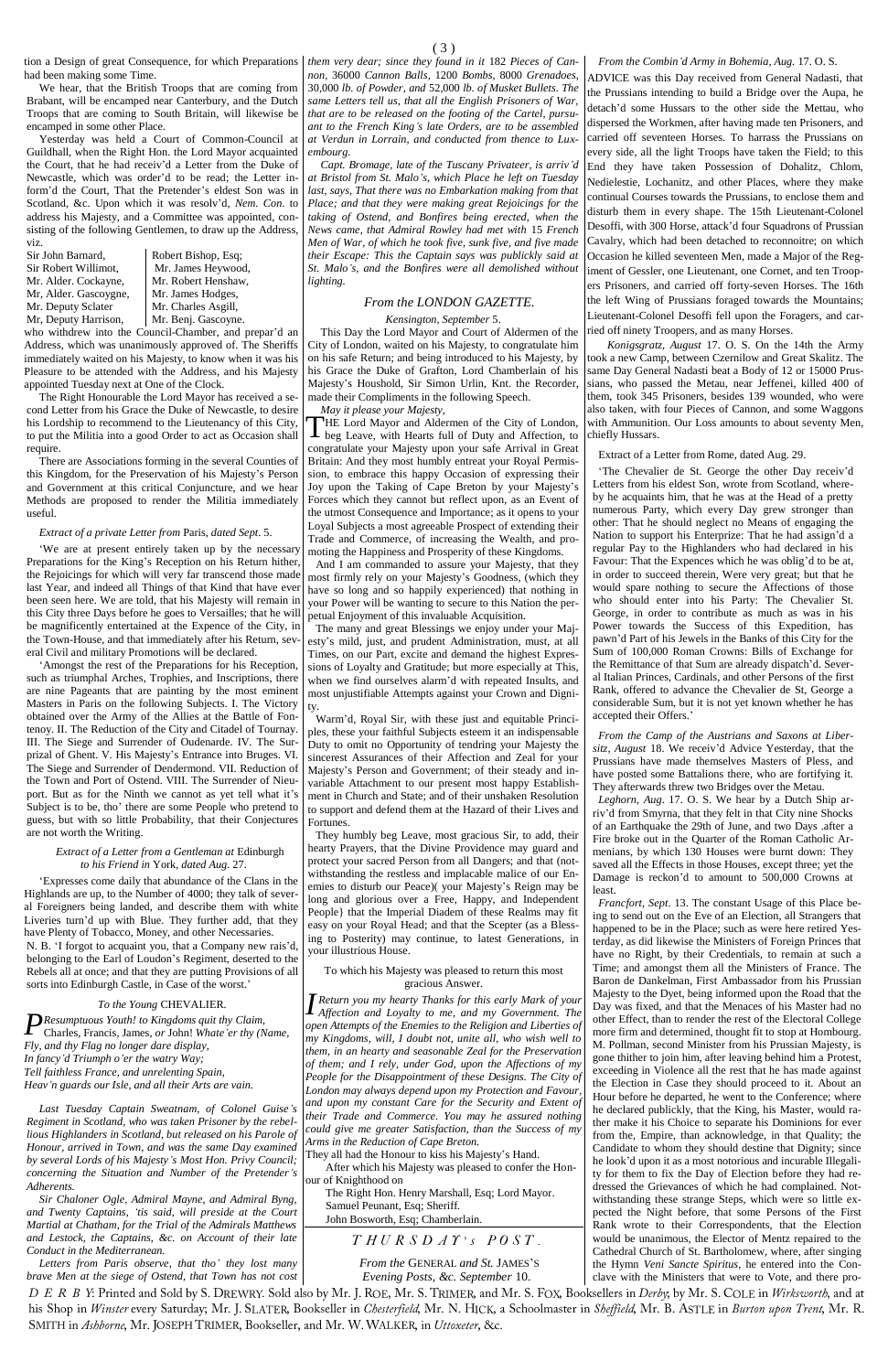Yesterday was held a Court of Common-Council at Guildhall, when the Right Hon. the Lord Mayor acquainted the Court, that he had receiv'd a Letter from the Duke of Newcastle, which was order'd to be read; the Letter inform'd the Court, That the Pretender's eldest Son was in Scotland, &c. Upon which it was resolv'd, *Nem. Con*. to address his Majesty, and a Committee was appointed, consisting of the following Gentlemen, to draw up the Address, viz.<br>Sir John Barnard.

Mr, Alder. Gascoygne, | Mr. James Hodges, Mr. Deputy Sclater Mr. Charles Asgill,<br>Mr. Deputy Harrison, Mr. Benj. Gascovne. Mr, Deputy Harrison,

Robert Bishop, Esq; Sir Robert Willimot, Mr. James Heywood, Mr. Alder. Cockayne, Mr. Robert Henshaw,

We hear, that the British Troops that are coming from Brabant, will be encamped near Canterbury, and the Dutch Troops that are coming to South Britain, will likewise be encamped in some other Place.

who withdrew into the Council-Chamber, and prepar'd an Address, which was unanimously approved of. The Sheriffs immediately waited on his Majesty, to know when it was his Pleasure to be attended with the Address, and his Majesty appointed Tuesday next at One of the Clock.

The Right Honourable the Lord Mayor has received a second Letter from his Grace the Duke of Newcastle, to desire his Lordship to recommend to the Lieutenancy of this City, to put the Militia into a good Order to act as Occasion shall require.

There are Associations forming in the several Counties of this Kingdom, for the Preservation of his Majesty's Person and Government at this critical Conjuncture, and we hear Methods are proposed to render the Militia immediately useful.

#### *Extract of a private Letter from* Paris, *dated Sept*. 5.

*Resumptuous Youth! to Kingdoms quit thy Claim,* Charles, Francis, James, or John! Whate'er thy (N Charles, Francis, James, *or* John! *Whate'er thy (Name, Fly, and thy Flag no longer dare display, In fancy'd Triumph o'er the watry Way; Tell faithless France, and unrelenting Spain, Heav'n guards our Isle, and all their Arts are vain.*

'We are at present entirely taken up by the necessary Preparations for the King's Reception on his Return hither, the Rejoicings for which will very far transcend those made last Year, and indeed all Things of that Kind that have ever been seen here. We are told, that his Majesty will remain in this City three Days before he goes to Versailles; that he will be magnificently entertained at the Expence of the City, in the Town-House, and that immediately after his Return, several Civil and military Promotions will be declared.

'Amongst the rest of the Preparations for his Reception, such as triumphal Arches, Trophies, and Inscriptions, there are nine Pageants that are painting by the most eminent Masters in Paris on the following Subjects. I. The Victory obtained over the Army of the Allies at the Battle of Fontenoy. II. The Reduction of the City and Citadel of Tournay. III. The Siege and Surrender of Oudenarde. IV. The Surprizal of Ghent. V. His Majesty's Entrance into Bruges. VI. The Siege and Surrender of Dendermond. VII. Reduction of the Town and Port of Ostend. VIII. The Surrender of Nieuport. But as for the Ninth we cannot as yet tell what it's Subject is to be, tho' there are some People who pretend to guess, but with so little Probability, that their Conjectures are not worth the Writing.

#### *Extract of a Letter from a Gentleman at* Edinburgh *to his Friend in* York, *dated Aug*. 27.

HE Lord Mayor and Aldermen of the City of London, THE Lord Mayor and Aldermen of the City of London,<br>beg Leave, with Hearts full of Duty and Affection, to congratulate your Majesty upon your safe Arrival in Great Britain: And they most humbly entreat your Royal Permission, to embrace this happy Occasion of expressing their Joy upon the Taking of Cape Breton by your Majesty's Forces which they cannot but reflect upon, as an Event of the utmost Consequence and Importance; as it opens to your Loyal Subjects a most agreeable Prospect of extending their Trade and Commerce, of increasing the Wealth, and promoting the Happiness and Prosperity of these Kingdoms.

'Expresses come daily that abundance of the Clans in the Highlands are up, to the Number of 4000; they talk of several Foreigners being landed, and describe them with white Liveries turn'd up with Blue. They further add, that they have Plenty of Tobacco, Money, and other Necessaries. N. B. 'I forgot to acquaint you, that a Company new rais'd, belonging to the Earl of Loudon's Regiment, deserted to the Rebels all at once; and that they are putting Provisions of all sorts into Edinburgh Castle, in Case of the worst.'

*To the Young* CHEVALIER.

*Last Tuesday Captain Sweatnam, of Colonel Guise's Regiment in Scotland, who was taken Prisoner by the rebellious Highlanders in Scotland, but released on his Parole of Honour, arrived in Town, and was the same Day examined by several Lords of his Majesty's Most Hon. Privy Council; concerning the Situation and Number of the Pretender's Adherents.*

*Sir Chaloner Ogle, Admiral Mayne, and Admiral Byng,*  and Twenty Captains, 'tis said, will preside at the Court *Martial at Chatham, for the Trial of the Admirals Matthews and Lestock, the Captains, &c. on Account of their late Conduct in the Mediterranean.*

*Letters from Paris observe, that tho' they lost many brave Men at the siege of Ostend, that Town has not cost* 

*non,* 36000 *Cannon Balls,* 1200 *Bombs,* 8000 *Grenadoes,*  30,000 *lb. of Powder, and* 52,000 *lb. of Musket Bullets. The same Letters tell us, that all the English Prisoners of War, that are to be released on the footing of the Cartel, pursuant to the French King's late Orders, are to be assembled at Verdun in Lorrain, and conducted from thence to Luxembourg.*

*Capt. Bromage, late of the Tuscany Privateer, is arriv'd at Bristol from St. Malo's, which Place he left on Tuesday*  last, says, That there was no Embarkation making from that *Place; and that they were making great Rejoicings for the taking of Ostend, and Bonfires being erected, when the News came, that Admiral Rowley had met with* 15 *French Men of War, of which he took five, sunk five, and five made their Escape: This the Captain says was publickly said at St. Malo's, and the Bonfires were all demolished without lighting.*

### *From the LONDON GAZETTE.*

*Kensington, September* 5.

This Day the Lord Mayor and Court of Aldermen of the City of London, waited on his Majesty, to congratulate him on his safe Return; and being introduced to his Majesty, by his Grace the Duke of Grafton, Lord Chamberlain of his Majesty's Houshold, Sir Simon Urlin, Knt. the Recorder, made their Compliments in the following Speech.

*May it please your Majesty,*

And I am commanded to assure your Majesty, that they most firmly rely on your Majesty's Goodness, (which they have so long and so happily experienced) that nothing in your Power will be wanting to secure to this Nation the perpetual Enjoyment of this invaluable Acquisition.

The many and great Blessings we enjoy under your Majesty's mild, just, and prudent Administration, must, at all Times, on our Part, excite and demand the highest Expressions of Loyalty and Gratitude; but more especially at This, when we find ourselves alarm'd with repeated Insults, and most unjustifiable Attempts against your Crown and Dignity.

Warm'd, Royal Sir, with these just and equitable Principles, these your faithful Subjects esteem it an indispensable Duty to omit no Opportunity of tendring your Majesty the sincerest Assurances of their Affection and Zeal for your Majesty's Person and Government; of their steady and invariable Attachment to our present most happy Establishment in Church and State; and of their unshaken Resolution to support and defend them at the Hazard of their Lives and Fortunes.

They humbly beg Leave, most gracious Sir, to add, their hearty Prayers, that the Divine Providence may guard and protect your sacred Person from all Dangers; and that (notwithstanding the restless and implacable malice of our Enemies to disturb our Peace)( your Majesty's Reign may be long and glorious over a Free, Happy, and Independent People} that the Imperial Diadem of these Realms may fit easy on your Royal Head; and that the Scepter (as a Blessing to Posterity) may continue, to latest Generations, in your illustrious House.

#### To which his Majesty was pleased to return this most gracious Answer.

*Return you my hearty Thanks for this early Mark of your Affection and Loyalty to me, and my Government. The Iopen Attempts of the Enemies to the Religion and Liberties of my Kingdoms, will, I doubt not, unite all, who wish well to them, in an hearty and seasonable Zeal for the Preservation of them; and I rely, under God, upon the Affections of my People for the Disappointment of these Designs. The City of London may always depend upon my Protection and Favour, and upon my constant Care for the Security and Extent of their Trade and Commerce. You may he assured nothing could give me greater Satisfaction, than the Success of my Arms in the Reduction of Cape Breton.*

They all had the Honour to kiss his Majesty's Hand.

After which his Majesty was pleased to confer the Honour of Knighthood on

The Right Hon. Henry Marshall, Esq; Lord Mayor. Samuel Peunant, Esq; Sheriff.

John Bosworth, Esq; Chamberlain.

*T H U R S D A Y ' s P O S T .*

*From the* GENERAL *and St.* JAMES'S *Evening Posts, &c. September* 10.

D E R B Y: Printed and Sold by S. DREWRY. Sold also by Mr. J. ROE, Mr. S. TRIMER, and Mr. S. FOX, Booksellers in Derby, by Mr. S. COLE in Wirksworth, and at his Shop in Winster every Saturday; Mr. J. SLATER, Bookseller in Chesterfield, Mr. N. HICK, a Schoolmaster in Sheffield, Mr. B. ASTLE in Burton upon Trent, Mr. R. SMITH in Ashborne, Mr. JOSEPH TRIMER, Bookseller, and Mr. W. WALKER, in Uttoxeter, &c.

#### *From the Combin'd Army in Bohemia, Aug.* 17. O. S.

ADVICE was this Day received from General Nadasti, that the Prussians intending to build a Bridge over the Aupa, he detach'd some Hussars to the other side the Mettau, who dispersed the Workmen, after having made ten Prisoners, and carried off seventeen Horses. To harrass the Prussians on every side, all the light Troops have taken the Field; to this End they have taken Possession of Dohalitz, Chlom, Nedielestie, Lochanitz, and other Places, where they make continual Courses towards the Prussians, to enclose them and disturb them in every shape. The 15th Lieutenant-Colonel Desoffi, with 300 Horse, attack'd four Squadrons of Prussian Cavalry, which had been detached to reconnoitre; on which Occasion he killed seventeen Men, made a Major of the Regiment of Gessler, one Lieutenant, one Cornet, and ten Troopers Prisoners, and carried off forty-seven Horses. The 16th the left Wing of Prussians foraged towards the Mountains; Lieutenant-Colonel Desoffi fell upon the Foragers, and carried off ninety Troopers, and as many Horses.

*Konigsgratz, August* 17. O. S. On the 14th the Army took a new Camp, between Czernilow and Great Skalitz. The same Day General Nadasti beat a Body of 12 or 15000 Prussians, who passed the Metau, near Jeffenei, killed 400 of them, took 345 Prisoners, besides 139 wounded, who were also taken, with four Pieces of Cannon, and some Waggons with Ammunition. Our Loss amounts to about seventy Men, chiefly Hussars.

Extract of a Letter from Rome, dated Aug. 29.

'The Chevalier de St. George the other Day receiv'd Letters from his eldest Son, wrote from Scotland, whereby he acquaints him, that he was at the Head of a pretty numerous Party, which every Day grew stronger than other: That he should neglect no Means of engaging the Nation to support his Enterprize: That he had assign'd a regular Pay to the Highlanders who had declared in his Favour: That the Expences which he was oblig'd to be at, in order to succeed therein, Were very great; but that he would spare nothing to secure the Affections of those who should enter into his Party: The Chevalier St. George, in order to contribute as much as was in his Power towards the Success of this Expedition, has pawn'd Part of his Jewels in the Banks of this City for the Sum of 100,000 Roman Crowns: Bills of Exchange for the Remittance of that Sum are already dispatch'd. Several Italian Princes, Cardinals, and other Persons of the first Rank, offered to advance the Chevalier de St, George a considerable Sum, but it is not yet known whether he has accepted their Offers.'

*From the Camp of the Austrians and Saxons at Libersitz, August* 18. We receiv'd Advice Yesterday, that the Prussians have made themselves Masters of Pless, and have posted some Battalions there, who are fortifying it. They afterwards threw two Bridges over the Metau.

*Leghorn*, *Aug*. 17. O. S. We hear by a Dutch Ship arriv'd from Smyrna, that they felt in that City nine Shocks of an Earthquake the 29th of June, and two Days .after a Fire broke out in the Quarter of the Roman Catholic Armenians, by which 130 Houses were burnt down: They saved all the Effects in those Houses, except three; yet the Damage is reckon'd to amount to 500,000 Crowns at least.

*Francfort*, *Sept*. 13. The constant Usage of this Place being to send out on the Eve of an Election, all Strangers that happened to be in the Place; such as were here retired Yesterday, as did likewise the Ministers of Foreign Princes that have no Right, by their Credentials, to remain at such a Time; and amongst them all the Ministers of France. The Baron de Dankelman, First Ambassador from his Prussian Majesty to the Dyet, being informed upon the Road that the Day was fixed, and that the Menaces of his Master had no other Effect, than to render the rest of the Electoral College more firm and determined, thought fit to stop at Hombourg. M. Pollman, second Minister from his Prussian Majesty, is gone thither to join him, after leaving behind him a Protest, exceeding in Violence all the rest that he has made against the Election in Case they should proceed to it. About an Hour before he departed, he went to the Conference; where he declared publickly, that the King, his Master, would rather make it his Choice to separate his Dominions for ever from the, Empire, than acknowledge, in that Quality; the Candidate to whom they should destine that Dignity; since he look'd upon it as a most notorious and incurable Illegality for them to fix the Day of Election before they had redressed the Grievances of which he had complained. Notwithstanding these strange Steps, which were so little expected the Night before, that some Persons of the First Rank wrote to their Correspondents, that the Election would be unanimous, the Elector of Mentz repaired to the Cathedral Church of St. Bartholomew, where, after singing the Hymn *Veni Sancte Spiritus,* he entered into the Conclave with the Ministers that were to Vote, and there pro